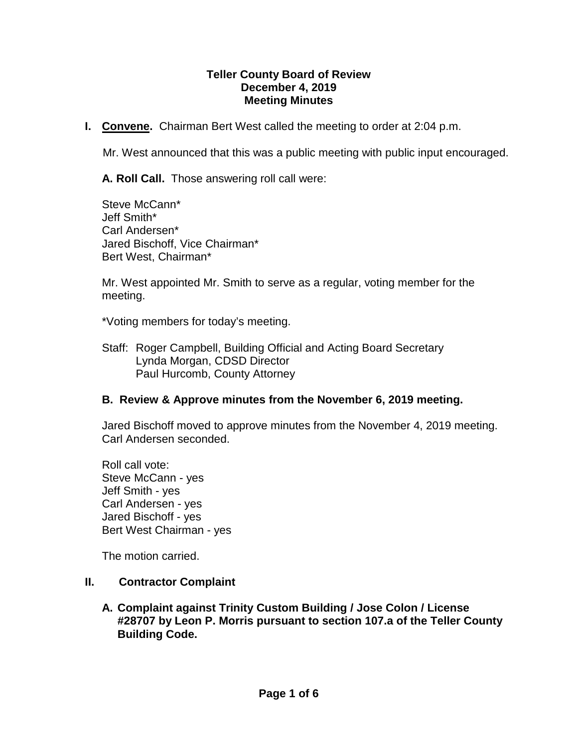#### **Teller County Board of Review December 4, 2019 Meeting Minutes**

**I. Convene.** Chairman Bert West called the meeting to order at 2:04 p.m.

Mr. West announced that this was a public meeting with public input encouraged.

**A. Roll Call.** Those answering roll call were:

Steve McCann\* Jeff Smith\* Carl Andersen\* Jared Bischoff, Vice Chairman\* Bert West, Chairman\*

Mr. West appointed Mr. Smith to serve as a regular, voting member for the meeting.

\*Voting members for today's meeting.

Staff: Roger Campbell, Building Official and Acting Board Secretary Lynda Morgan, CDSD Director Paul Hurcomb, County Attorney

#### **B. Review & Approve minutes from the November 6, 2019 meeting.**

Jared Bischoff moved to approve minutes from the November 4, 2019 meeting. Carl Andersen seconded.

Roll call vote: Steve McCann - yes Jeff Smith - yes Carl Andersen - yes Jared Bischoff - yes Bert West Chairman - yes

The motion carried.

- **II. Contractor Complaint**
	- **A. Complaint against Trinity Custom Building / Jose Colon / License #28707 by Leon P. Morris pursuant to section 107.a of the Teller County Building Code.**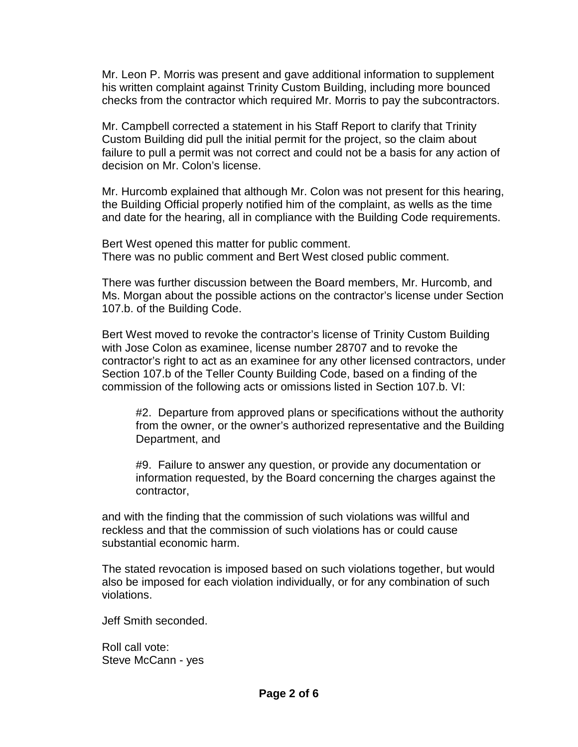Mr. Leon P. Morris was present and gave additional information to supplement his written complaint against Trinity Custom Building, including more bounced checks from the contractor which required Mr. Morris to pay the subcontractors.

Mr. Campbell corrected a statement in his Staff Report to clarify that Trinity Custom Building did pull the initial permit for the project, so the claim about failure to pull a permit was not correct and could not be a basis for any action of decision on Mr. Colon's license.

Mr. Hurcomb explained that although Mr. Colon was not present for this hearing, the Building Official properly notified him of the complaint, as wells as the time and date for the hearing, all in compliance with the Building Code requirements.

Bert West opened this matter for public comment. There was no public comment and Bert West closed public comment.

There was further discussion between the Board members, Mr. Hurcomb, and Ms. Morgan about the possible actions on the contractor's license under Section 107.b. of the Building Code.

Bert West moved to revoke the contractor's license of Trinity Custom Building with Jose Colon as examinee, license number 28707 and to revoke the contractor's right to act as an examinee for any other licensed contractors, under Section 107.b of the Teller County Building Code, based on a finding of the commission of the following acts or omissions listed in Section 107.b. VI:

#2. Departure from approved plans or specifications without the authority from the owner, or the owner's authorized representative and the Building Department, and

#9. Failure to answer any question, or provide any documentation or information requested, by the Board concerning the charges against the contractor,

and with the finding that the commission of such violations was willful and reckless and that the commission of such violations has or could cause substantial economic harm.

The stated revocation is imposed based on such violations together, but would also be imposed for each violation individually, or for any combination of such violations.

Jeff Smith seconded.

Roll call vote: Steve McCann - yes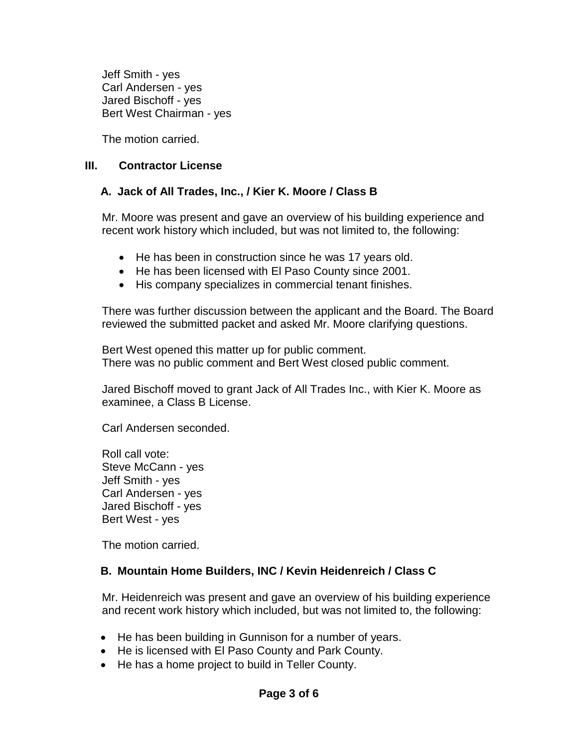Jeff Smith - yes Carl Andersen - yes Jared Bischoff - yes Bert West Chairman - yes

The motion carried.

### **III. Contractor License**

## **A. Jack of All Trades, Inc., / Kier K. Moore / Class B**

Mr. Moore was present and gave an overview of his building experience and recent work history which included, but was not limited to, the following:

- He has been in construction since he was 17 years old.
- He has been licensed with El Paso County since 2001.
- His company specializes in commercial tenant finishes.

There was further discussion between the applicant and the Board. The Board reviewed the submitted packet and asked Mr. Moore clarifying questions.

Bert West opened this matter up for public comment. There was no public comment and Bert West closed public comment.

Jared Bischoff moved to grant Jack of All Trades Inc., with Kier K. Moore as examinee, a Class B License.

Carl Andersen seconded.

Roll call vote: Steve McCann - yes Jeff Smith - yes Carl Andersen - yes Jared Bischoff - yes Bert West - yes

The motion carried.

## **B. Mountain Home Builders, INC / Kevin Heidenreich / Class C**

Mr. Heidenreich was present and gave an overview of his building experience and recent work history which included, but was not limited to, the following:

- He has been building in Gunnison for a number of years.
- He is licensed with El Paso County and Park County.
- He has a home project to build in Teller County.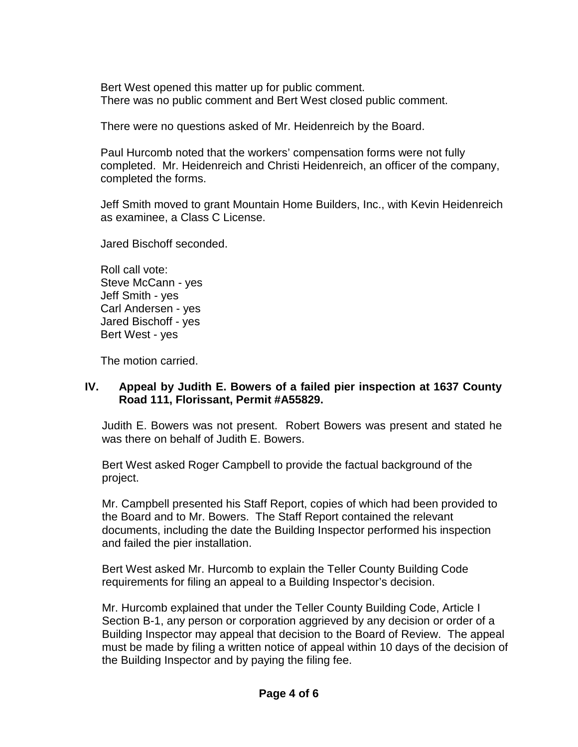Bert West opened this matter up for public comment. There was no public comment and Bert West closed public comment.

There were no questions asked of Mr. Heidenreich by the Board.

Paul Hurcomb noted that the workers' compensation forms were not fully completed. Mr. Heidenreich and Christi Heidenreich, an officer of the company, completed the forms.

Jeff Smith moved to grant Mountain Home Builders, Inc., with Kevin Heidenreich as examinee, a Class C License.

Jared Bischoff seconded.

Roll call vote: Steve McCann - yes Jeff Smith - yes Carl Andersen - yes Jared Bischoff - yes Bert West - yes

The motion carried.

# **IV. Appeal by Judith E. Bowers of a failed pier inspection at 1637 County Road 111, Florissant, Permit #A55829.**

Judith E. Bowers was not present. Robert Bowers was present and stated he was there on behalf of Judith E. Bowers.

Bert West asked Roger Campbell to provide the factual background of the project.

Mr. Campbell presented his Staff Report, copies of which had been provided to the Board and to Mr. Bowers. The Staff Report contained the relevant documents, including the date the Building Inspector performed his inspection and failed the pier installation.

Bert West asked Mr. Hurcomb to explain the Teller County Building Code requirements for filing an appeal to a Building Inspector's decision.

Mr. Hurcomb explained that under the Teller County Building Code, Article I Section B-1, any person or corporation aggrieved by any decision or order of a Building Inspector may appeal that decision to the Board of Review. The appeal must be made by filing a written notice of appeal within 10 days of the decision of the Building Inspector and by paying the filing fee.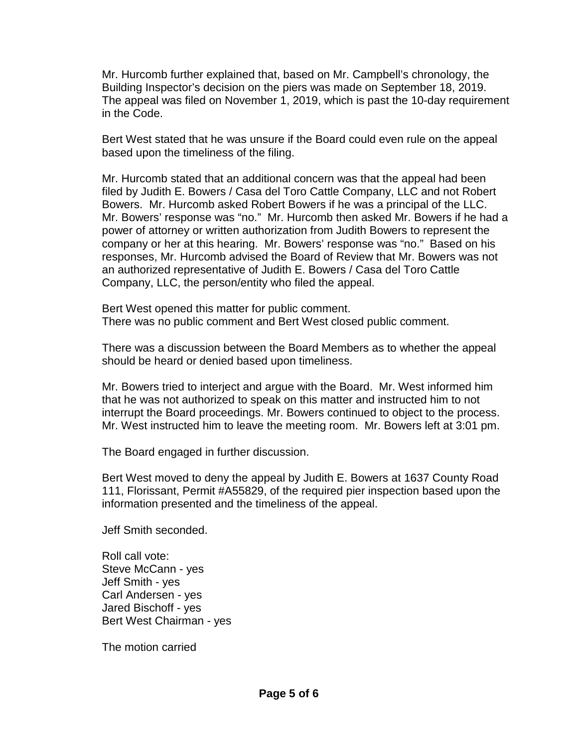Mr. Hurcomb further explained that, based on Mr. Campbell's chronology, the Building Inspector's decision on the piers was made on September 18, 2019. The appeal was filed on November 1, 2019, which is past the 10-day requirement in the Code.

Bert West stated that he was unsure if the Board could even rule on the appeal based upon the timeliness of the filing.

Mr. Hurcomb stated that an additional concern was that the appeal had been filed by Judith E. Bowers / Casa del Toro Cattle Company, LLC and not Robert Bowers. Mr. Hurcomb asked Robert Bowers if he was a principal of the LLC. Mr. Bowers' response was "no." Mr. Hurcomb then asked Mr. Bowers if he had a power of attorney or written authorization from Judith Bowers to represent the company or her at this hearing. Mr. Bowers' response was "no." Based on his responses, Mr. Hurcomb advised the Board of Review that Mr. Bowers was not an authorized representative of Judith E. Bowers / Casa del Toro Cattle Company, LLC, the person/entity who filed the appeal.

Bert West opened this matter for public comment. There was no public comment and Bert West closed public comment.

There was a discussion between the Board Members as to whether the appeal should be heard or denied based upon timeliness.

Mr. Bowers tried to interject and argue with the Board. Mr. West informed him that he was not authorized to speak on this matter and instructed him to not interrupt the Board proceedings. Mr. Bowers continued to object to the process. Mr. West instructed him to leave the meeting room. Mr. Bowers left at 3:01 pm.

The Board engaged in further discussion.

Bert West moved to deny the appeal by Judith E. Bowers at 1637 County Road 111, Florissant, Permit #A55829, of the required pier inspection based upon the information presented and the timeliness of the appeal.

Jeff Smith seconded.

Roll call vote: Steve McCann - yes Jeff Smith - yes Carl Andersen - yes Jared Bischoff - yes Bert West Chairman - yes

The motion carried